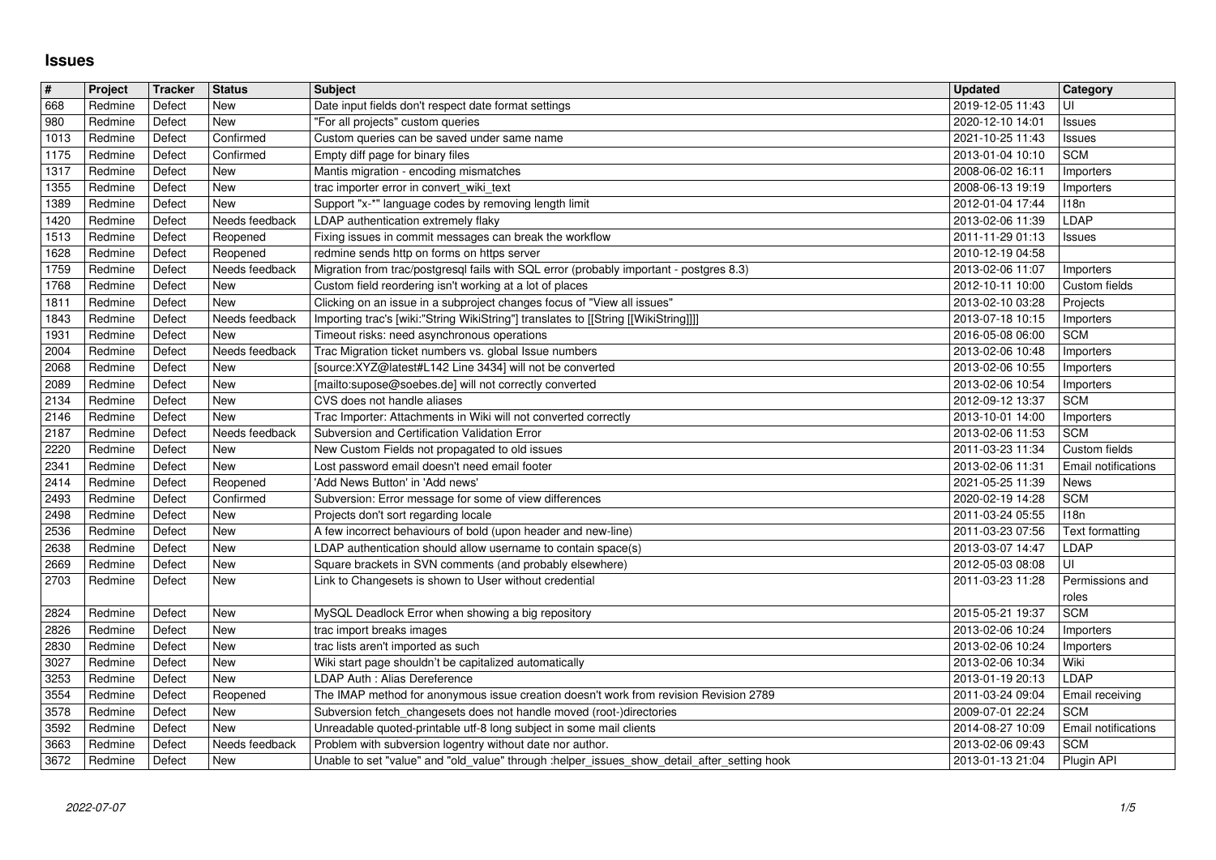## **Issues**

| $\pmb{\#}$   | Project            | Tracker          | <b>Status</b>                | <b>Subject</b>                                                                                                                                                 | <b>Updated</b>                       | <b>Category</b>                          |
|--------------|--------------------|------------------|------------------------------|----------------------------------------------------------------------------------------------------------------------------------------------------------------|--------------------------------------|------------------------------------------|
| 668<br>980   | Redmine<br>Redmine | Defect<br>Defect | <b>New</b><br>New            | Date input fields don't respect date format settings<br>"For all projects" custom queries                                                                      | 2019-12-05 11:43<br>2020-12-10 14:01 | UI<br>Issues                             |
| 1013         | Redmine            | Defect           | Confirmed                    | Custom queries can be saved under same name                                                                                                                    | 2021-10-25 11:43                     | Issues                                   |
| 1175<br>1317 | Redmine<br>Redmine | Defect<br>Defect | Confirmed<br>New             | Empty diff page for binary files<br>Mantis migration - encoding mismatches                                                                                     | 2013-01-04 10:10<br>2008-06-02 16:11 | <b>SCM</b><br>Importers                  |
| 1355         | Redmine            | Defect           | New                          | trac importer error in convert_wiki_text                                                                                                                       | 2008-06-13 19:19                     | Importers                                |
| 1389<br>1420 | Redmine<br>Redmine | Defect<br>Defect | New<br>Needs feedback        | Support "x-*" language codes by removing length limit<br>LDAP authentication extremely flaky                                                                   | 2012-01-04 17:44<br>2013-02-06 11:39 | 118n<br>LDAP                             |
| 1513         | Redmine            | Defect           | Reopened                     | Fixing issues in commit messages can break the workflow                                                                                                        | 2011-11-29 01:13                     | Issues                                   |
| 1628<br>1759 | Redmine<br>Redmine | Defect<br>Defect | Reopened<br>Needs feedback   | redmine sends http on forms on https server<br>Migration from trac/postgresql fails with SQL error (probably important - postgres 8.3)                         | 2010-12-19 04:58<br>2013-02-06 11:07 | Importers                                |
| 1768         | Redmine            | Defect           | New                          | Custom field reordering isn't working at a lot of places                                                                                                       | 2012-10-11 10:00                     | Custom fields                            |
| 1811         | Redmine            | Defect           | New                          | Clicking on an issue in a subproject changes focus of "View all issues"<br>Importing trac's [wiki:"String WikiString"] translates to [[String [[WikiString]]]] | 2013-02-10 03:28                     | Projects                                 |
| 1843<br>1931 | Redmine<br>Redmine | Defect<br>Defect | Needs feedback<br>New        | Timeout risks: need asynchronous operations                                                                                                                    | 2013-07-18 10:15<br>2016-05-08 06:00 | Importers<br><b>SCM</b>                  |
| 2004         | Redmine            | Defect           | Needs feedback               | Trac Migration ticket numbers vs. global Issue numbers                                                                                                         | 2013-02-06 10:48                     | Importers                                |
| 2068<br>2089 | Redmine<br>Redmine | Defect<br>Defect | New<br>New                   | [source:XYZ@latest#L142 Line 3434] will not be converted<br>[mailto:supose@soebes.de] will not correctly converted                                             | 2013-02-06 10:55<br>2013-02-06 10:54 | Importers<br>Importers                   |
| 2134         | Redmine            | Defect           | <b>New</b>                   | CVS does not handle aliases                                                                                                                                    | 2012-09-12 13:37                     | <b>SCM</b>                               |
| 2146<br>2187 | Redmine<br>Redmine | Defect<br>Defect | <b>New</b><br>Needs feedback | Trac Importer: Attachments in Wiki will not converted correctly<br>Subversion and Certification Validation Error                                               | 2013-10-01 14:00<br>2013-02-06 11:53 | Importers<br><b>SCM</b>                  |
| 2220         | Redmine            | Defect           | New                          | New Custom Fields not propagated to old issues                                                                                                                 | 2011-03-23 11:34                     | Custom fields                            |
| 2341<br>2414 | Redmine<br>Redmine | Defect<br>Defect | New<br>Reopened              | Lost password email doesn't need email footer<br>'Add News Button' in 'Add news'                                                                               | 2013-02-06 11:31<br>2021-05-25 11:39 | Email notifications<br>News              |
| 2493         | Redmine            | Defect           | Confirmed                    | Subversion: Error message for some of view differences                                                                                                         | 2020-02-19 14:28                     | <b>SCM</b>                               |
| 2498<br>2536 | Redmine<br>Redmine | Defect<br>Defect | New<br><b>New</b>            | Projects don't sort regarding locale<br>A few incorrect behaviours of bold (upon header and new-line)                                                          | 2011-03-24 05:55<br>2011-03-23 07:56 | 118n<br>Text formatting                  |
| 2638         | Redmine            | Defect           | <b>New</b>                   | LDAP authentication should allow username to contain space(s)                                                                                                  | 2013-03-07 14:47                     | LDAP                                     |
| 2669         | Redmine            | Defect           | <b>New</b>                   | Square brackets in SVN comments (and probably elsewhere)                                                                                                       | 2012-05-03 08:08                     | UI                                       |
| 2703         | Redmine            | Defect           | New                          | Link to Changesets is shown to User without credential                                                                                                         | 2011-03-23 11:28                     | Permissions and<br>roles                 |
| 2824         | Redmine            | Defect           | New                          | MySQL Deadlock Error when showing a big repository                                                                                                             | 2015-05-21 19:37                     | <b>SCM</b>                               |
| 2826<br>2830 | Redmine<br>Redmine | Defect<br>Defect | New<br>New                   | trac import breaks images<br>trac lists aren't imported as such                                                                                                | 2013-02-06 10:24<br>2013-02-06 10:24 | Importers<br>Importers                   |
| 3027         | Redmine            | Defect           | New                          | Wiki start page shouldn't be capitalized automatically                                                                                                         | 2013-02-06 10:34                     | Wiki                                     |
| 3253<br>3554 | Redmine<br>Redmine | Defect<br>Defect | New<br>Reopened              | LDAP Auth : Alias Dereference<br>The IMAP method for anonymous issue creation doesn't work from revision Revision 2789                                         | 2013-01-19 20:13<br>2011-03-24 09:04 | LDAP<br>Email receiving                  |
| 3578         | Redmine            | Defect           | New                          | Subversion fetch_changesets does not handle moved (root-)directories                                                                                           | 2009-07-01 22:24                     | <b>SCM</b>                               |
| 3592<br>3663 | Redmine<br>Redmine | Defect<br>Defect | New<br>Needs feedback        | Unreadable quoted-printable utf-8 long subject in some mail clients<br>Problem with subversion logentry without date nor author.                               | 2014-08-27 10:09<br>2013-02-06 09:43 | <b>Email notifications</b><br><b>SCM</b> |
| 3672         | Redmine            | Defect           | New                          | Unable to set "value" and "old_value" through :helper_issues_show_detail_after_setting hook                                                                    | 2013-01-13 21:04                     | Plugin API                               |
|              |                    |                  |                              |                                                                                                                                                                |                                      |                                          |
|              |                    |                  |                              |                                                                                                                                                                |                                      |                                          |
|              |                    |                  |                              |                                                                                                                                                                |                                      |                                          |
|              |                    |                  |                              |                                                                                                                                                                |                                      |                                          |
|              |                    |                  |                              |                                                                                                                                                                |                                      |                                          |
|              |                    |                  |                              |                                                                                                                                                                |                                      |                                          |
|              |                    |                  |                              |                                                                                                                                                                |                                      |                                          |
|              |                    |                  |                              |                                                                                                                                                                |                                      |                                          |
|              |                    |                  |                              |                                                                                                                                                                |                                      |                                          |
|              |                    |                  |                              |                                                                                                                                                                |                                      |                                          |
|              |                    |                  |                              |                                                                                                                                                                |                                      |                                          |
|              |                    |                  |                              |                                                                                                                                                                |                                      |                                          |
|              |                    |                  |                              |                                                                                                                                                                |                                      |                                          |
|              |                    |                  |                              |                                                                                                                                                                |                                      |                                          |
|              |                    |                  |                              |                                                                                                                                                                |                                      |                                          |
|              |                    |                  |                              |                                                                                                                                                                |                                      |                                          |
|              |                    |                  |                              |                                                                                                                                                                |                                      |                                          |
|              |                    |                  |                              |                                                                                                                                                                |                                      |                                          |
|              |                    |                  |                              |                                                                                                                                                                |                                      |                                          |
|              |                    |                  |                              |                                                                                                                                                                |                                      |                                          |
|              |                    |                  |                              |                                                                                                                                                                |                                      |                                          |
|              |                    |                  |                              |                                                                                                                                                                |                                      |                                          |
|              |                    |                  |                              |                                                                                                                                                                |                                      |                                          |
|              |                    |                  |                              |                                                                                                                                                                |                                      |                                          |
|              |                    |                  |                              |                                                                                                                                                                |                                      |                                          |
|              |                    |                  |                              |                                                                                                                                                                |                                      |                                          |
|              |                    |                  |                              |                                                                                                                                                                |                                      |                                          |
|              |                    |                  |                              |                                                                                                                                                                |                                      |                                          |
|              |                    |                  |                              |                                                                                                                                                                |                                      |                                          |
|              |                    |                  |                              |                                                                                                                                                                |                                      |                                          |
|              |                    |                  |                              |                                                                                                                                                                |                                      |                                          |
|              |                    |                  |                              |                                                                                                                                                                |                                      |                                          |
|              |                    |                  |                              |                                                                                                                                                                |                                      |                                          |
|              |                    |                  |                              |                                                                                                                                                                |                                      |                                          |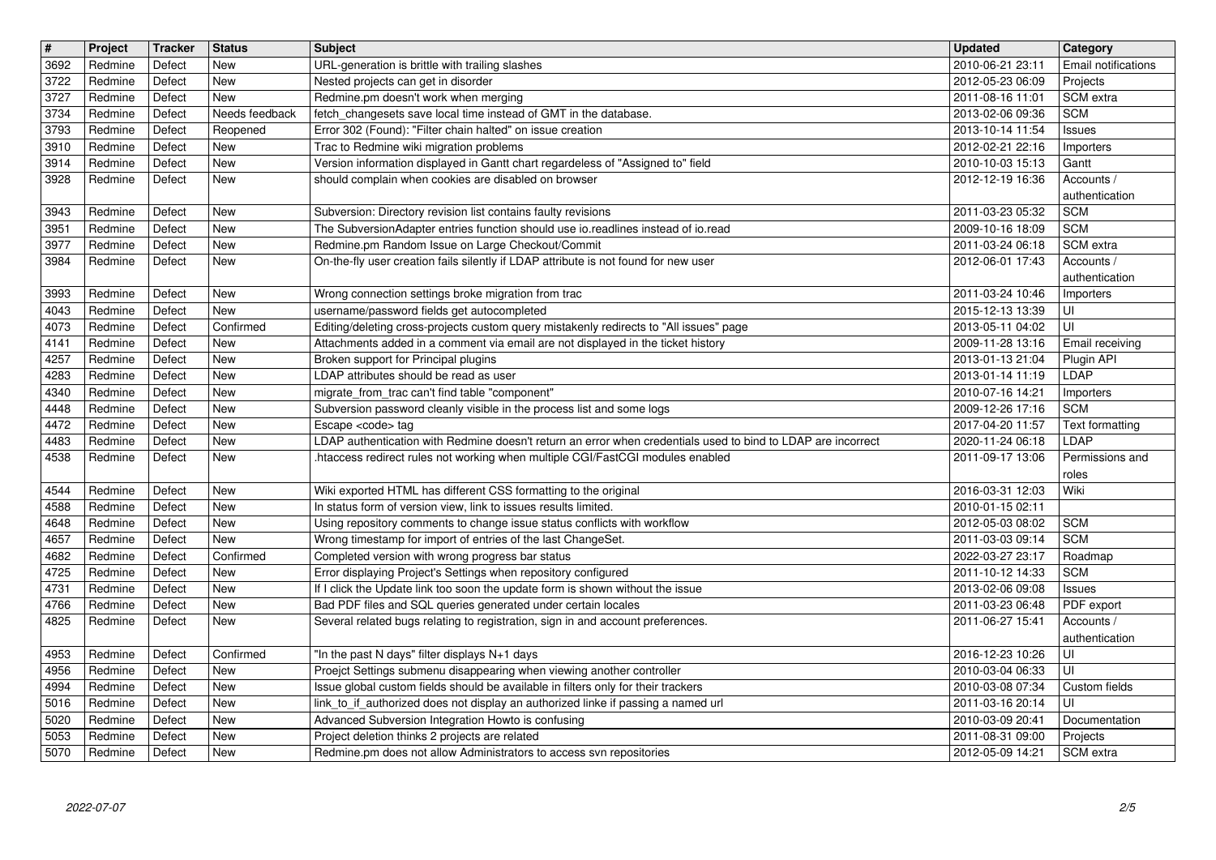| $\overline{\mathbf{t}}$ | Project            | <b>Tracker</b>   | <b>Status</b>              | Subject                                                                                                                                                                | <b>Updated</b>                       | Category                        |
|-------------------------|--------------------|------------------|----------------------------|------------------------------------------------------------------------------------------------------------------------------------------------------------------------|--------------------------------------|---------------------------------|
| 3692<br>3722            | Redmine<br>Redmine | Defect<br>Defect | <b>New</b><br><b>New</b>   | URL-generation is brittle with trailing slashes<br>Nested projects can get in disorder                                                                                 | 2010-06-21 23:11<br>2012-05-23 06:09 | Email notifications<br>Projects |
| 3727                    | Redmine            | Defect           | <b>New</b>                 | Redmine.pm doesn't work when merging                                                                                                                                   | 2011-08-16 11:01                     | SCM extra                       |
| 3734<br>3793            | Redmine<br>Redmine | Defect<br>Defect | Needs feedback<br>Reopened | fetch_changesets save local time instead of GMT in the database.<br>Error 302 (Found): "Filter chain halted" on issue creation                                         | 2013-02-06 09:36<br>2013-10-14 11:54 | <b>SCM</b><br>Issues            |
| 3910                    | Redmine            | Defect           | <b>New</b>                 | Trac to Redmine wiki migration problems                                                                                                                                | 2012-02-21 22:16                     | Importers                       |
| 3914                    | Redmine            | Defect           | <b>New</b>                 | Version information displayed in Gantt chart regardeless of "Assigned to" field                                                                                        | 2010-10-03 15:13                     | Gantt                           |
| 3928                    | Redmine            | Defect           | <b>New</b>                 | should complain when cookies are disabled on browser                                                                                                                   | 2012-12-19 16:36                     | Accounts /<br>authentication    |
| 3943                    | Redmine            | Defect           | <b>New</b>                 | Subversion: Directory revision list contains faulty revisions                                                                                                          | 2011-03-23 05:32                     | <b>SCM</b>                      |
| 3951<br>3977            | Redmine<br>Redmine | Defect<br>Defect | <b>New</b><br><b>New</b>   | The SubversionAdapter entries function should use io.readlines instead of io.read<br>Redmine.pm Random Issue on Large Checkout/Commit                                  | 2009-10-16 18:09<br>2011-03-24 06:18 | <b>SCM</b><br>SCM extra         |
| 3984                    | Redmine            | Defect           | New                        | On-the-fly user creation fails silently if LDAP attribute is not found for new user                                                                                    | 2012-06-01 17:43                     | Accounts /                      |
|                         |                    |                  |                            |                                                                                                                                                                        |                                      | authentication                  |
| 3993<br>4043            | Redmine<br>Redmine | Defect<br>Defect | <b>New</b><br>New          | Wrong connection settings broke migration from trac<br>username/password fields get autocompleted                                                                      | 2011-03-24 10:46<br>2015-12-13 13:39 | Importers<br>UI                 |
| 4073                    | Redmine            | Defect           | Confirmed                  | Editing/deleting cross-projects custom query mistakenly redirects to "All issues" page                                                                                 | 2013-05-11 04:02                     | UI                              |
| 4141<br>4257            | Redmine<br>Redmine | Defect<br>Defect | <b>New</b><br>New          | Attachments added in a comment via email are not displayed in the ticket history<br>Broken support for Principal plugins                                               | 2009-11-28 13:16<br>2013-01-13 21:04 | Email receiving<br>Plugin API   |
| 4283                    | Redmine            | Defect           | <b>New</b>                 | LDAP attributes should be read as user                                                                                                                                 | 2013-01-14 11:19                     | LDAP                            |
| 4340                    | Redmine            | Defect           | <b>New</b>                 | migrate_from_trac can't find table "component"                                                                                                                         | 2010-07-16 14:21                     | Importers                       |
| 4448<br>4472            | Redmine<br>Redmine | Defect<br>Defect | <b>New</b><br>New          | Subversion password cleanly visible in the process list and some logs<br>Escape <code> tag</code>                                                                      | 2009-12-26 17:16<br>2017-04-20 11:57 | <b>SCM</b><br>Text formatting   |
| 4483                    | Redmine            | Defect           | <b>New</b>                 | LDAP authentication with Redmine doesn't return an error when credentials used to bind to LDAP are incorrect                                                           | 2020-11-24 06:18                     | LDAP                            |
| 4538                    | Redmine            | Defect           | <b>New</b>                 | .htaccess redirect rules not working when multiple CGI/FastCGI modules enabled                                                                                         | 2011-09-17 13:06                     | Permissions and<br>roles        |
| 4544                    | Redmine            | Defect           | New                        | Wiki exported HTML has different CSS formatting to the original                                                                                                        | 2016-03-31 12:03                     | Wiki                            |
| 4588                    | Redmine            | Defect           | <b>New</b>                 | In status form of version view, link to issues results limited.                                                                                                        | 2010-01-15 02:11                     |                                 |
| 4648<br>4657            | Redmine<br>Redmine | Defect<br>Defect | <b>New</b><br>New          | Using repository comments to change issue status conflicts with workflow<br>Wrong timestamp for import of entries of the last ChangeSet.                               | 2012-05-03 08:02<br>2011-03-03 09:14 | <b>SCM</b><br><b>SCM</b>        |
| 4682                    | Redmine            | Defect           | Confirmed                  | Completed version with wrong progress bar status                                                                                                                       | 2022-03-27 23:17                     | Roadmap                         |
| 4725<br>4731            | Redmine<br>Redmine | Defect<br>Defect | New<br>New                 | Error displaying Project's Settings when repository configured<br>If I click the Update link too soon the update form is shown without the issue                       | 2011-10-12 14:33<br>2013-02-06 09:08 | <b>SCM</b><br>Issues            |
| 4766                    | Redmine            | Defect           | <b>New</b>                 | Bad PDF files and SQL queries generated under certain locales                                                                                                          | 2011-03-23 06:48                     | PDF export                      |
| 4825                    | Redmine            | Defect           | <b>New</b>                 | Several related bugs relating to registration, sign in and account preferences.                                                                                        | 2011-06-27 15:41                     | Accounts /                      |
| 4953                    | Redmine            | Defect           | Confirmed                  | "In the past N days" filter displays N+1 days                                                                                                                          | 2016-12-23 10:26                     | authentication<br>UI            |
| 4956                    | Redmine            | Defect           | New                        | Proejct Settings submenu disappearing when viewing another controller                                                                                                  | 2010-03-04 06:33                     | l UI                            |
| 4994<br>5016            | Redmine<br>Redmine | Defect<br>Defect | New<br>New                 | Issue global custom fields should be available in filters only for their trackers<br>link_to_if_authorized does not display an authorized linke if passing a named url | 2010-03-08 07:34<br>2011-03-16 20:14 | Custom fields<br>UI             |
| 5020                    | Redmine            | Defect           | New                        | Advanced Subversion Integration Howto is confusing                                                                                                                     | 2010-03-09 20:41                     | Documentation                   |
| 5053<br>5070            | Redmine<br>Redmine | Defect<br>Defect | New<br>New                 | Project deletion thinks 2 projects are related<br>Redmine.pm does not allow Administrators to access svn repositories                                                  | 2011-08-31 09:00<br>2012-05-09 14:21 | Projects<br>SCM extra           |
|                         |                    |                  |                            |                                                                                                                                                                        |                                      |                                 |
|                         |                    |                  |                            |                                                                                                                                                                        |                                      |                                 |
|                         |                    |                  |                            |                                                                                                                                                                        |                                      |                                 |
|                         |                    |                  |                            |                                                                                                                                                                        |                                      |                                 |
|                         |                    |                  |                            |                                                                                                                                                                        |                                      |                                 |
|                         |                    |                  |                            |                                                                                                                                                                        |                                      |                                 |
|                         |                    |                  |                            |                                                                                                                                                                        |                                      |                                 |
|                         |                    |                  |                            |                                                                                                                                                                        |                                      |                                 |
|                         |                    |                  |                            |                                                                                                                                                                        |                                      |                                 |
|                         |                    |                  |                            |                                                                                                                                                                        |                                      |                                 |
|                         |                    |                  |                            |                                                                                                                                                                        |                                      |                                 |
|                         |                    |                  |                            |                                                                                                                                                                        |                                      |                                 |
|                         |                    |                  |                            |                                                                                                                                                                        |                                      |                                 |
|                         |                    |                  |                            |                                                                                                                                                                        |                                      |                                 |
|                         |                    |                  |                            |                                                                                                                                                                        |                                      |                                 |
|                         |                    |                  |                            |                                                                                                                                                                        |                                      |                                 |
|                         |                    |                  |                            |                                                                                                                                                                        |                                      |                                 |
|                         |                    |                  |                            |                                                                                                                                                                        |                                      |                                 |
|                         |                    |                  |                            |                                                                                                                                                                        |                                      |                                 |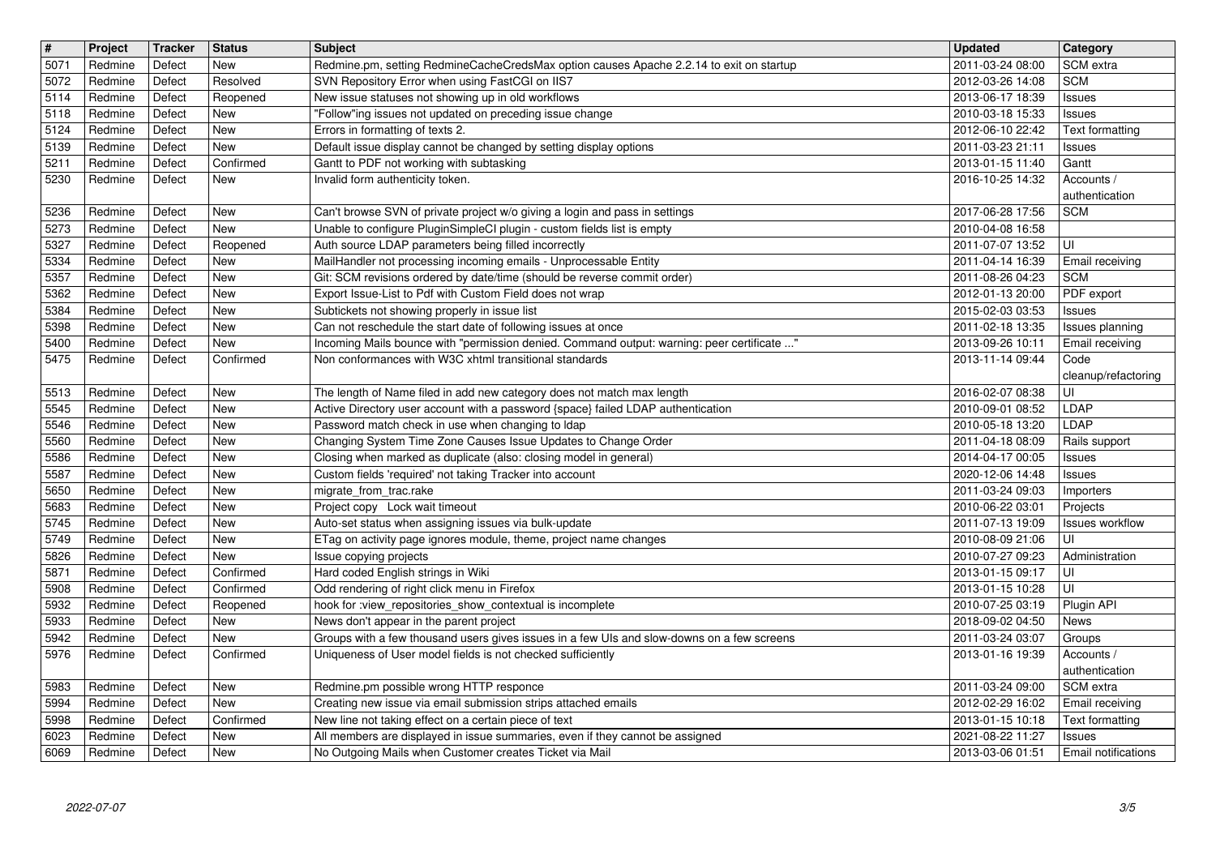| $\overline{\mathbf{t}}$ | Project             | <b>Tracker</b>   | <b>Status</b>            | Subject                                                                                                                                                   | Updated                              | Category                           |
|-------------------------|---------------------|------------------|--------------------------|-----------------------------------------------------------------------------------------------------------------------------------------------------------|--------------------------------------|------------------------------------|
| 5071<br>5072            | Redmine<br>Redmine  | Defect<br>Defect | <b>New</b><br>Resolved   | Redmine.pm, setting RedmineCacheCredsMax option causes Apache 2.2.14 to exit on startup<br>SVN Repository Error when using FastCGI on IIS7                | 2011-03-24 08:00<br>2012-03-26 14:08 | SCM extra<br><b>SCM</b>            |
| 5114                    | Redmine             | Defect           | Reopened                 | New issue statuses not showing up in old workflows                                                                                                        | 2013-06-17 18:39                     | <b>Issues</b>                      |
| 5118                    | Redmine             | Defect           | New                      | "Follow"ing issues not updated on preceding issue change                                                                                                  | 2010-03-18 15:33                     | <b>Issues</b>                      |
| 5124                    | Redmine             | Defect<br>Defect | <b>New</b><br><b>New</b> | Errors in formatting of texts 2.                                                                                                                          | 2012-06-10 22:42                     | Text formatting                    |
| 5139<br>5211            | Redmine<br>Redmine  | Defect           | Confirmed                | Default issue display cannot be changed by setting display options<br>Gantt to PDF not working with subtasking                                            | 2011-03-23 21:11<br>2013-01-15 11:40 | <b>Issues</b><br>Gantt             |
| 5230                    | Redmine             | Defect           | New                      | Invalid form authenticity token.                                                                                                                          | 2016-10-25 14:32                     | Accounts /                         |
| 5236                    | Redmine             | Defect           | <b>New</b>               |                                                                                                                                                           | 2017-06-28 17:56                     | authentication<br><b>SCM</b>       |
| 5273                    | Redmine             | Defect           | New                      | Can't browse SVN of private project w/o giving a login and pass in settings<br>Unable to configure PluginSimpleCI plugin - custom fields list is empty    | 2010-04-08 16:58                     |                                    |
| 5327                    | Redmine             | Defect           | Reopened                 | Auth source LDAP parameters being filled incorrectly                                                                                                      | 2011-07-07 13:52                     | UI                                 |
| 5334                    | Redmine             | Defect           | <b>New</b>               | MailHandler not processing incoming emails - Unprocessable Entity                                                                                         | 2011-04-14 16:39                     | Email receiving                    |
| 5357<br>5362            | Redmine<br>Redmine  | Defect<br>Defect | New<br><b>New</b>        | Git: SCM revisions ordered by date/time (should be reverse commit order)<br>Export Issue-List to Pdf with Custom Field does not wrap                      | 2011-08-26 04:23<br>2012-01-13 20:00 | <b>SCM</b><br>PDF export           |
| 5384                    | Redmine             | Defect           | <b>New</b>               | Subtickets not showing properly in issue list                                                                                                             | 2015-02-03 03:53                     | <b>Issues</b>                      |
| 5398                    | Redmine             | Defect           | <b>New</b>               | Can not reschedule the start date of following issues at once                                                                                             | 2011-02-18 13:35                     | Issues planning                    |
| 5400<br>5475            | Redmine<br>Redmine  | Defect<br>Defect | New<br>Confirmed         | Incoming Mails bounce with "permission denied. Command output: warning: peer certificate "<br>Non conformances with W3C xhtml transitional standards      | 2013-09-26 10:11<br>2013-11-14 09:44 | Email receiving<br>Code            |
|                         |                     |                  |                          |                                                                                                                                                           |                                      | cleanup/refactoring                |
| 5513                    | Redmine             | Defect           | <b>New</b>               | The length of Name filed in add new category does not match max length                                                                                    | 2016-02-07 08:38                     | UI                                 |
| 5545<br>5546            | Redmine<br>Redmine  | Defect<br>Defect | <b>New</b><br>New        | Active Directory user account with a password {space} failed LDAP authentication<br>Password match check in use when changing to Idap                     | 2010-09-01 08:52<br>2010-05-18 13:20 | LDAP<br>LDAP                       |
| 5560                    | Redmine             | Defect           | <b>New</b>               | Changing System Time Zone Causes Issue Updates to Change Order                                                                                            | 2011-04-18 08:09                     | Rails support                      |
| 5586                    | Redmine             | Defect           | New                      | Closing when marked as duplicate (also: closing model in general)                                                                                         | 2014-04-17 00:05                     | <b>Issues</b>                      |
| 5587<br>5650            | Redmine<br>Redmine  | Defect<br>Defect | <b>New</b><br><b>New</b> | Custom fields 'required' not taking Tracker into account<br>migrate_from_trac.rake                                                                        | 2020-12-06 14:48                     | Issues                             |
| 5683                    | Redmine             | Defect           | <b>New</b>               | Project copy Lock wait timeout                                                                                                                            | 2011-03-24 09:03<br>2010-06-22 03:01 | Importers<br>Projects              |
| 5745                    | Redmine             | Defect           | <b>New</b>               | Auto-set status when assigning issues via bulk-update                                                                                                     | 2011-07-13 19:09                     | Issues workflow                    |
| 5749                    | Redmine             | Defect           | <b>New</b>               | ETag on activity page ignores module, theme, project name changes                                                                                         | 2010-08-09 21:06                     | UI                                 |
| 5826<br>5871            | Redmine             | Defect           | New                      | Issue copying projects<br>Hard coded English strings in Wiki                                                                                              | 2010-07-27 09:23                     | Administration                     |
| 5908                    | Redmine<br>Redmine  | Defect<br>Defect | Confirmed<br>Confirmed   | Odd rendering of right click menu in Firefox                                                                                                              | 2013-01-15 09:17<br>2013-01-15 10:28 | UI<br>UI                           |
| 5932                    | Redmine             | Defect           | Reopened                 | hook for :view_repositories_show_contextual is incomplete                                                                                                 | 2010-07-25 03:19                     | Plugin API                         |
| 5933                    | Redmine             | Defect           | New                      | News don't appear in the parent project                                                                                                                   | 2018-09-02 04:50                     | <b>News</b>                        |
| 5942<br>5976            | Redmine<br>Redmine  | Defect<br>Defect | New<br>Confirmed         | Groups with a few thousand users gives issues in a few UIs and slow-downs on a few screens<br>Uniqueness of User model fields is not checked sufficiently | 2011-03-24 03:07<br>2013-01-16 19:39 | Groups<br>Accounts /               |
|                         |                     |                  |                          |                                                                                                                                                           |                                      | authentication                     |
|                         | 5983 Redmine Defect |                  | New                      | Redmine.pm possible wrong HTTP responce                                                                                                                   | 2011-03-24 09:00                     | SCM extra                          |
| 5994<br>5998            | Redmine<br>Redmine  | Defect<br>Defect | New<br>Confirmed         | Creating new issue via email submission strips attached emails<br>New line not taking effect on a certain piece of text                                   | 2012-02-29 16:02<br>2013-01-15 10:18 | Email receiving<br>Text formatting |
| 6023                    | Redmine             | Defect           | New                      | All members are displayed in issue summaries, even if they cannot be assigned                                                                             | 2021-08-22 11:27                     | <b>Issues</b>                      |
|                         |                     |                  |                          |                                                                                                                                                           |                                      |                                    |
|                         |                     |                  |                          |                                                                                                                                                           |                                      |                                    |
|                         |                     |                  |                          |                                                                                                                                                           |                                      |                                    |
|                         |                     |                  |                          |                                                                                                                                                           |                                      |                                    |
|                         |                     |                  |                          |                                                                                                                                                           |                                      |                                    |
|                         |                     |                  |                          |                                                                                                                                                           |                                      |                                    |
|                         |                     |                  |                          |                                                                                                                                                           |                                      |                                    |
|                         |                     |                  |                          |                                                                                                                                                           |                                      |                                    |
|                         |                     |                  |                          |                                                                                                                                                           |                                      |                                    |
|                         |                     |                  |                          |                                                                                                                                                           |                                      |                                    |
|                         |                     |                  |                          |                                                                                                                                                           |                                      |                                    |
|                         |                     |                  |                          |                                                                                                                                                           |                                      |                                    |
|                         |                     |                  |                          |                                                                                                                                                           |                                      |                                    |
|                         |                     |                  |                          |                                                                                                                                                           |                                      |                                    |
|                         |                     |                  |                          |                                                                                                                                                           |                                      |                                    |
|                         |                     |                  |                          |                                                                                                                                                           |                                      |                                    |
|                         |                     |                  |                          |                                                                                                                                                           |                                      |                                    |
|                         |                     |                  |                          |                                                                                                                                                           |                                      |                                    |
|                         |                     |                  |                          |                                                                                                                                                           |                                      |                                    |
|                         |                     |                  |                          |                                                                                                                                                           |                                      |                                    |
|                         |                     |                  |                          |                                                                                                                                                           |                                      |                                    |
|                         |                     |                  |                          |                                                                                                                                                           |                                      |                                    |
|                         |                     |                  |                          |                                                                                                                                                           |                                      |                                    |
|                         |                     |                  |                          |                                                                                                                                                           |                                      |                                    |
|                         |                     |                  |                          |                                                                                                                                                           |                                      |                                    |
|                         |                     |                  |                          |                                                                                                                                                           |                                      |                                    |
|                         |                     |                  |                          |                                                                                                                                                           |                                      |                                    |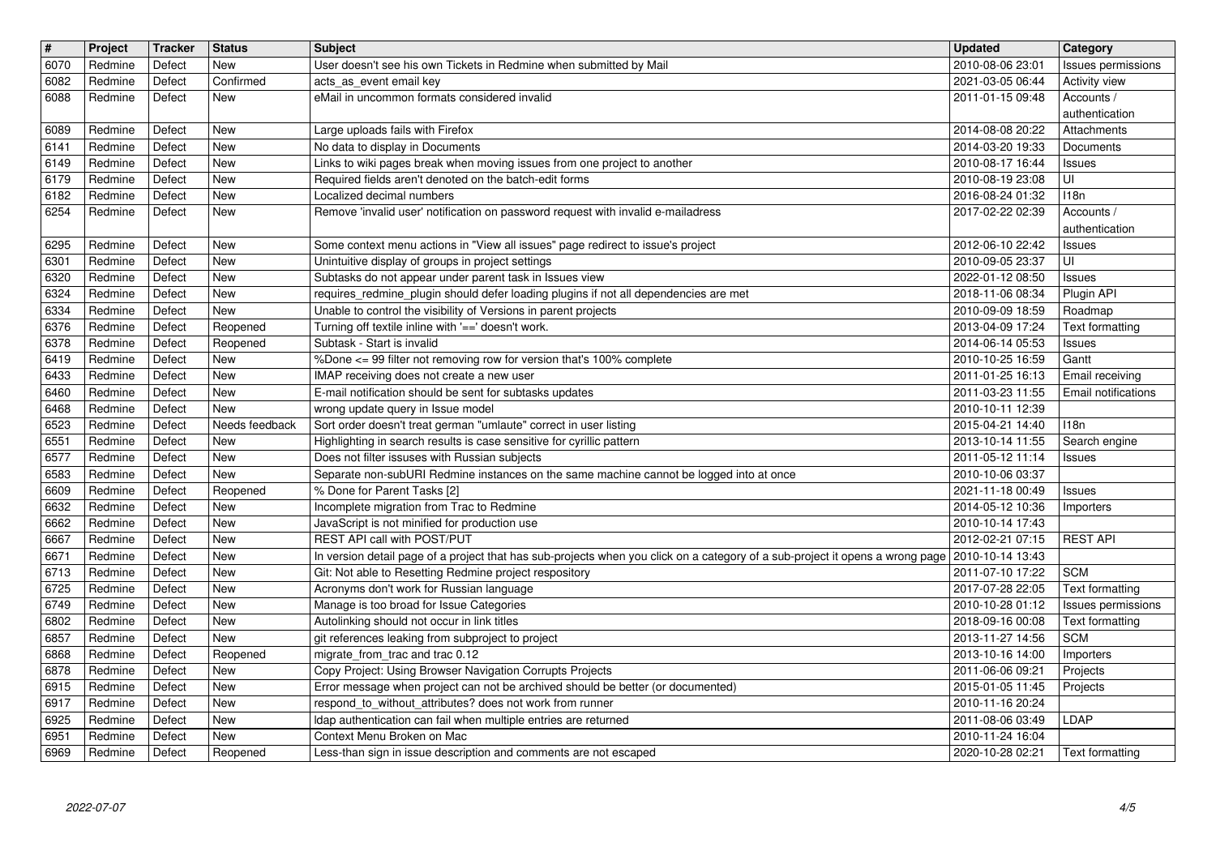| $\sqrt{t}$   | Project            | <b>Tracker</b>   | <b>Status</b>            | <b>Subject</b>                                                                                                                                          | <b>Updated</b>                                   | Category                                      |
|--------------|--------------------|------------------|--------------------------|---------------------------------------------------------------------------------------------------------------------------------------------------------|--------------------------------------------------|-----------------------------------------------|
| 6070         | Redmine            | Defect           | <b>New</b>               | User doesn't see his own Tickets in Redmine when submitted by Mail                                                                                      | 2010-08-06 23:01                                 | Issues permissions                            |
| 6082<br>6088 | Redmine<br>Redmine | Defect<br>Defect | Confirmed<br><b>New</b>  | acts_as_event email key<br>eMail in uncommon formats considered invalid                                                                                 | 2021-03-05 06:44<br>2011-01-15 09:48             | Activity view<br>Accounts /                   |
|              |                    |                  |                          |                                                                                                                                                         |                                                  | authentication                                |
| 6089         | Redmine            | Defect           | <b>New</b>               | Large uploads fails with Firefox                                                                                                                        | 2014-08-08 20:22                                 | Attachments                                   |
| 6141         | Redmine            | Defect           | <b>New</b>               | No data to display in Documents                                                                                                                         | 2014-03-20 19:33                                 | Documents                                     |
| 6149         | Redmine            | Defect           | <b>New</b>               | Links to wiki pages break when moving issues from one project to another                                                                                | 2010-08-17 16:44                                 | <b>Issues</b>                                 |
| 6179         | Redmine<br>Redmine | Defect<br>Defect | <b>New</b><br><b>New</b> | Required fields aren't denoted on the batch-edit forms<br>Localized decimal numbers                                                                     | 2010-08-19 23:08<br>2016-08-24 01:32             | UI<br>118n                                    |
| 6182<br>6254 | Redmine            | Defect           | <b>New</b>               | Remove 'invalid user' notification on password request with invalid e-mailadress                                                                        | 2017-02-22 02:39                                 | Accounts /                                    |
|              |                    |                  |                          |                                                                                                                                                         |                                                  | authentication                                |
| 6295         | Redmine            | Defect           | <b>New</b>               | Some context menu actions in "View all issues" page redirect to issue's project                                                                         | 2012-06-10 22:42                                 | <b>Issues</b>                                 |
| 6301         | Redmine            | Defect           | <b>New</b>               | Unintuitive display of groups in project settings                                                                                                       | 2010-09-05 23:37                                 | UI                                            |
| 6320<br>6324 | Redmine            | Defect<br>Defect | <b>New</b><br>New        | Subtasks do not appear under parent task in Issues view                                                                                                 | 2022-01-12 08:50                                 | <b>Issues</b>                                 |
| 6334         | Redmine<br>Redmine | Defect           | New                      | requires_redmine_plugin should defer loading plugins if not all dependencies are met<br>Unable to control the visibility of Versions in parent projects | 2018-11-06 08:34<br>2010-09-09 18:59             | Plugin API<br>Roadmap                         |
| 6376         | Redmine            | Defect           | Reopened                 | Turning off textile inline with '==' doesn't work.                                                                                                      | 2013-04-09 17:24                                 | Text formatting                               |
| 6378         | Redmine            | Defect           | Reopened                 | Subtask - Start is invalid                                                                                                                              | 2014-06-14 05:53                                 | Issues                                        |
| 6419         | Redmine            | Defect           | <b>New</b>               | %Done <= 99 filter not removing row for version that's 100% complete                                                                                    | 2010-10-25 16:59                                 | Gantt                                         |
| 6433<br>6460 | Redmine<br>Redmine | Defect<br>Defect | <b>New</b><br><b>New</b> | IMAP receiving does not create a new user<br>E-mail notification should be sent for subtasks updates                                                    | 2011-01-25 16:13<br>2011-03-23 11:55             | Email receiving<br><b>Email notifications</b> |
| 6468         | Redmine            | Defect           | New                      | wrong update query in Issue model                                                                                                                       | 2010-10-11 12:39                                 |                                               |
| 6523         | Redmine            | Defect           | Needs feedback           | Sort order doesn't treat german "umlaute" correct in user listing                                                                                       | 2015-04-21 14:40                                 | 118n                                          |
| 6551         | Redmine            | Defect           | <b>New</b>               | Highlighting in search results is case sensitive for cyrillic pattern                                                                                   | 2013-10-14 11:55                                 | Search engine                                 |
| 6577         | Redmine            | Defect           | <b>New</b>               | Does not filter issuses with Russian subjects                                                                                                           | 2011-05-12 11:14                                 | <b>Issues</b>                                 |
| 6583<br>6609 | Redmine<br>Redmine | Defect<br>Defect | <b>New</b><br>Reopened   | Separate non-subURI Redmine instances on the same machine cannot be logged into at once<br>% Done for Parent Tasks [2]                                  | 2010-10-06 03:37<br>2021-11-18 00:49             | <b>Issues</b>                                 |
| 6632         | Redmine            | Defect           | <b>New</b>               | Incomplete migration from Trac to Redmine                                                                                                               | 2014-05-12 10:36                                 | Importers                                     |
| 6662         | Redmine            | Defect           | <b>New</b>               | JavaScript is not minified for production use                                                                                                           | 2010-10-14 17:43                                 |                                               |
| 6667         | Redmine            | Defect           | <b>New</b>               | REST API call with POST/PUT                                                                                                                             | 2012-02-21 07:15                                 | <b>REST API</b>                               |
| 6671         | Redmine            | Defect           | <b>New</b>               | In version detail page of a project that has sub-projects when you click on a category of a sub-project it opens a wrong page 2010-10-14 13:43          |                                                  |                                               |
| 6713<br>6725 | Redmine<br>Redmine | Defect<br>Defect | <b>New</b><br><b>New</b> | Git: Not able to Resetting Redmine project respository<br>Acronyms don't work for Russian language                                                      | 2011-07-10 17:22<br>2017-07-28 22:05             | <b>SCM</b><br>Text formatting                 |
| 6749         | Redmine            | Defect           | New                      | Manage is too broad for Issue Categories                                                                                                                | 2010-10-28 01:12                                 | Issues permissions                            |
| 6802         | Redmine            | Defect           | <b>New</b>               | Autolinking should not occur in link titles                                                                                                             | 2018-09-16 00:08                                 | <b>Text formatting</b>                        |
| 6857         | Redmine            | Defect           | New                      | git references leaking from subproject to project                                                                                                       | 2013-11-27 14:56                                 | <b>SCM</b>                                    |
| 6868         | Redmine            | Defect           | Reopened                 | migrate_from_trac and trac 0.12                                                                                                                         | 2013-10-16 14:00                                 | Importers                                     |
| 6878<br>6915 | Redmine<br>Redmine | Defect<br>Defect | New<br>New               | Copy Project: Using Browser Navigation Corrupts Projects<br>Error message when project can not be archived should be better (or documented)             | 2011-06-06 09:21<br>2015-01-05 11:45    Projects | Projects                                      |
| 6917         | Redmine            | Defect           | New                      | respond to without attributes? does not work from runner                                                                                                | 2010-11-16 20:24                                 |                                               |
| 6925         | Redmine            | Defect           | New                      | Idap authentication can fail when multiple entries are returned                                                                                         | 2011-08-06 03:49                                 | LDAP                                          |
| 6951<br>6969 | Redmine<br>Redmine | Defect<br>Defect | New<br>Reopened          | Context Menu Broken on Mac<br>Less-than sign in issue description and comments are not escaped                                                          | 2010-11-24 16:04<br>2020-10-28 02:21             | Text formatting                               |
|              |                    |                  |                          |                                                                                                                                                         |                                                  |                                               |
|              |                    |                  |                          |                                                                                                                                                         |                                                  |                                               |
|              |                    |                  |                          |                                                                                                                                                         |                                                  |                                               |
|              |                    |                  |                          |                                                                                                                                                         |                                                  |                                               |
|              |                    |                  |                          |                                                                                                                                                         |                                                  |                                               |
|              |                    |                  |                          |                                                                                                                                                         |                                                  |                                               |
|              |                    |                  |                          |                                                                                                                                                         |                                                  |                                               |
|              |                    |                  |                          |                                                                                                                                                         |                                                  |                                               |
|              |                    |                  |                          |                                                                                                                                                         |                                                  |                                               |
|              |                    |                  |                          |                                                                                                                                                         |                                                  |                                               |
|              |                    |                  |                          |                                                                                                                                                         |                                                  |                                               |
|              |                    |                  |                          |                                                                                                                                                         |                                                  |                                               |
|              |                    |                  |                          |                                                                                                                                                         |                                                  |                                               |
|              |                    |                  |                          |                                                                                                                                                         |                                                  |                                               |